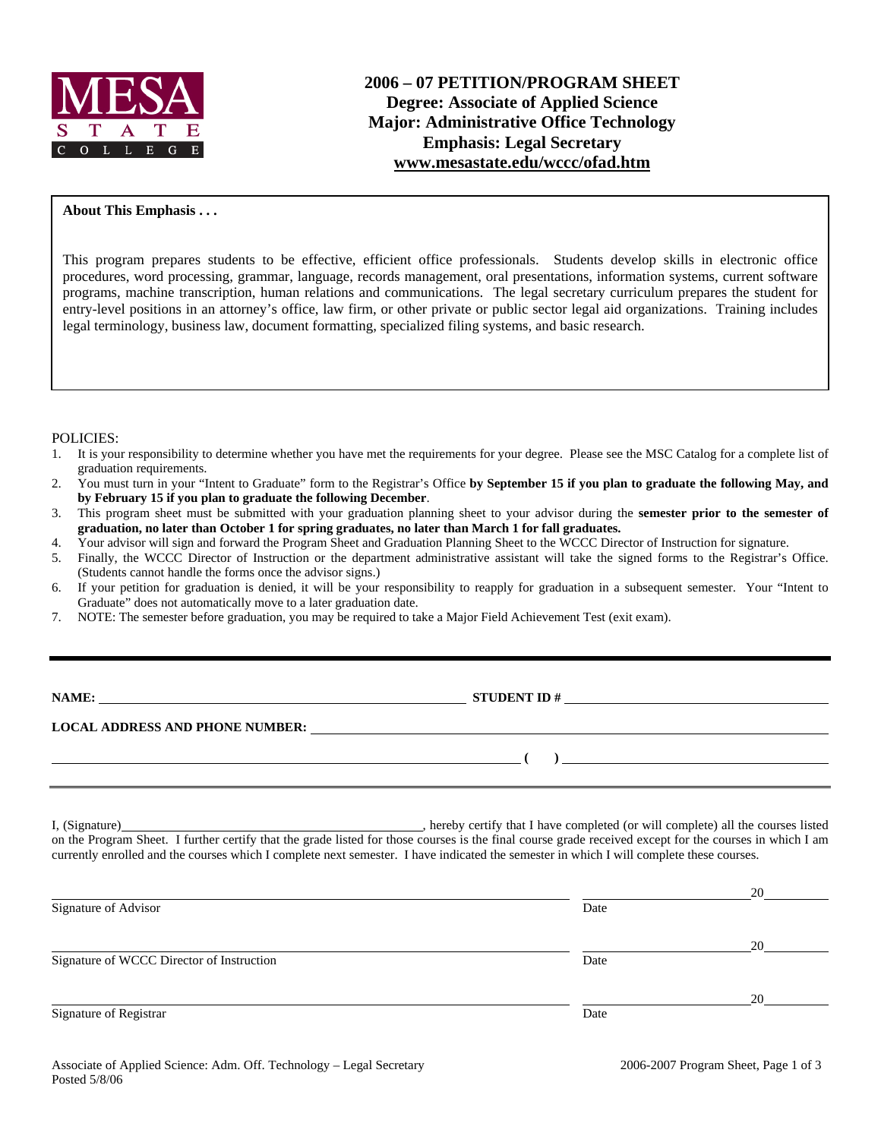

## **About This Emphasis . . .**

This program prepares students to be effective, efficient office professionals. Students develop skills in electronic office procedures, word processing, grammar, language, records management, oral presentations, information systems, current software programs, machine transcription, human relations and communications. The legal secretary curriculum prepares the student for entry-level positions in an attorney's office, law firm, or other private or public sector legal aid organizations. Training includes legal terminology, business law, document formatting, specialized filing systems, and basic research.

### POLICIES:

- 1. It is your responsibility to determine whether you have met the requirements for your degree. Please see the MSC Catalog for a complete list of graduation requirements.
- 2. You must turn in your "Intent to Graduate" form to the Registrar's Office **by September 15 if you plan to graduate the following May, and by February 15 if you plan to graduate the following December**.
- 3. This program sheet must be submitted with your graduation planning sheet to your advisor during the **semester prior to the semester of graduation, no later than October 1 for spring graduates, no later than March 1 for fall graduates.**
- 4. Your advisor will sign and forward the Program Sheet and Graduation Planning Sheet to the WCCC Director of Instruction for signature.
- 5. Finally, the WCCC Director of Instruction or the department administrative assistant will take the signed forms to the Registrar's Office. (Students cannot handle the forms once the advisor signs.)
- 6. If your petition for graduation is denied, it will be your responsibility to reapply for graduation in a subsequent semester. Your "Intent to Graduate" does not automatically move to a later graduation date.
- 7. NOTE: The semester before graduation, you may be required to take a Major Field Achievement Test (exit exam).

**STUDENT ID #** 

**LOCAL ADDRESS AND PHONE NUMBER:**

 **( )** 

I, (Signature) , hereby certify that I have completed (or will complete) all the courses listed on the Program Sheet. I further certify that the grade listed for those courses is the final course grade received except for the courses in which I am currently enrolled and the courses which I complete next semester. I have indicated the semester in which I will complete these courses.

| Signature of Advisor                      | Date | 20 |
|-------------------------------------------|------|----|
| Signature of WCCC Director of Instruction | Date | 20 |
| Signature of Registrar                    | Date | 20 |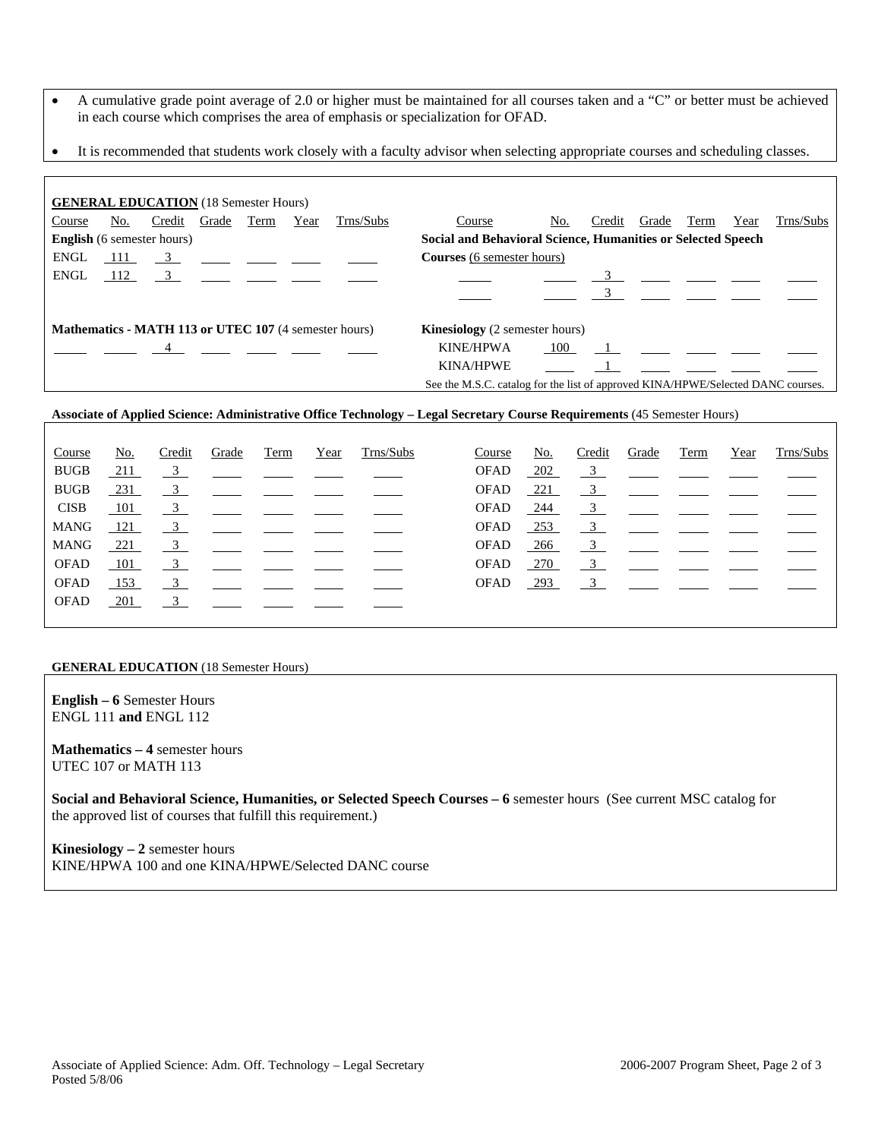- A cumulative grade point average of 2.0 or higher must be maintained for all courses taken and a "C" or better must be achieved in each course which comprises the area of emphasis or specialization for OFAD.
- It is recommended that students work closely with a faculty advisor when selecting appropriate courses and scheduling classes.

|                                                                                                       |            | <b>GENERAL EDUCATION</b> (18 Semester Hours)                          |  |      |      |           |                                                                                  |     |        |                                                                                                                                                                                                                                |      |      |           |
|-------------------------------------------------------------------------------------------------------|------------|-----------------------------------------------------------------------|--|------|------|-----------|----------------------------------------------------------------------------------|-----|--------|--------------------------------------------------------------------------------------------------------------------------------------------------------------------------------------------------------------------------------|------|------|-----------|
| Course                                                                                                | <u>No.</u> | Credit Grade                                                          |  | Term | Year | Trns/Subs | Course                                                                           | No. | Credit | Grade                                                                                                                                                                                                                          | Term | Year | Trns/Subs |
|                                                                                                       |            | <b>English</b> (6 semester hours)                                     |  |      |      |           | Social and Behavioral Science, Humanities or Selected Speech                     |     |        |                                                                                                                                                                                                                                |      |      |           |
| <b>ENGL</b>                                                                                           | 111        | $\frac{3}{2}$ $\frac{1}{2}$ $\frac{1}{2}$ $\frac{1}{2}$ $\frac{1}{2}$ |  |      |      |           | <b>Courses</b> (6 semester hours)                                                |     |        |                                                                                                                                                                                                                                |      |      |           |
| ENGL                                                                                                  |            | $112 \t 3$                                                            |  |      |      |           |                                                                                  |     |        |                                                                                                                                                                                                                                |      |      |           |
|                                                                                                       |            |                                                                       |  |      |      |           |                                                                                  |     |        |                                                                                                                                                                                                                                |      |      |           |
| <b>Mathematics - MATH 113 or UTEC 107 (4 semester hours)</b><br><b>Kinesiology</b> (2 semester hours) |            |                                                                       |  |      |      |           |                                                                                  |     |        |                                                                                                                                                                                                                                |      |      |           |
|                                                                                                       |            | $\overline{4}$                                                        |  |      |      |           | <b>KINE/HPWA</b>                                                                 | 100 |        | $\sim$ 1 and 2 and 2 and 2 and 2 and 2 and 2 and 2 and 2 and 2 and 2 and 2 and 2 and 2 and 2 and 2 and 2 and 2 and 2 and 2 and 2 and 2 and 2 and 2 and 2 and 2 and 2 and 2 and 2 and 2 and 2 and 2 and 2 and 2 and 2 and 2 and |      |      |           |
|                                                                                                       |            |                                                                       |  |      |      |           | <b>KINA/HPWE</b>                                                                 |     |        |                                                                                                                                                                                                                                |      |      |           |
|                                                                                                       |            |                                                                       |  |      |      |           | See the M.S.C. catalog for the list of approved KINA/HPWE/Selected DANC courses. |     |        |                                                                                                                                                                                                                                |      |      |           |

### **Associate of Applied Science: Administrative Office Technology – Legal Secretary Course Requirements** (45 Semester Hours)

| Course      | No.        | Credit                    | Grade                  | Term | Year | Trns/Subs | Course      | <u>No.</u> | Credit | Grade                                                                                                                                                                                                                                                                                                               | Term | Year | Trns/Subs |
|-------------|------------|---------------------------|------------------------|------|------|-----------|-------------|------------|--------|---------------------------------------------------------------------------------------------------------------------------------------------------------------------------------------------------------------------------------------------------------------------------------------------------------------------|------|------|-----------|
| <b>BUGB</b> | 211        | $\frac{3}{2}$             |                        |      |      |           | <b>OFAD</b> | $-202$     |        | $\frac{3}{2}$ $\frac{1}{2}$ $\frac{1}{2}$ $\frac{1}{2}$                                                                                                                                                                                                                                                             |      |      |           |
| <b>BUGB</b> | 231        | $\overline{\mathbf{3}}$   |                        |      |      |           | <b>OFAD</b> | $-221$     |        | $\frac{3}{2}$ $\frac{1}{2}$ $\frac{1}{2}$ $\frac{1}{2}$ $\frac{1}{2}$ $\frac{1}{2}$ $\frac{1}{2}$ $\frac{1}{2}$ $\frac{1}{2}$ $\frac{1}{2}$ $\frac{1}{2}$ $\frac{1}{2}$ $\frac{1}{2}$ $\frac{1}{2}$ $\frac{1}{2}$ $\frac{1}{2}$ $\frac{1}{2}$ $\frac{1}{2}$ $\frac{1}{2}$ $\frac{1}{2}$ $\frac{1}{2}$ $\frac{1}{2}$ |      |      |           |
| <b>CISB</b> | 101        | $\overline{\mathbf{3}}$   | <u>است است است است</u> |      |      |           | <b>OFAD</b> | $-244$     |        | $\frac{3}{2}$ $\frac{1}{2}$ $\frac{1}{2}$ $\frac{1}{2}$                                                                                                                                                                                                                                                             |      |      |           |
| <b>MANG</b> | 121        | $\frac{3}{2}$             |                        |      |      |           | OFAD        | $-253$     |        | $\frac{3}{\sqrt{2}}$ $\frac{1}{\sqrt{2}}$ $\frac{1}{\sqrt{2}}$                                                                                                                                                                                                                                                      |      |      |           |
| <b>MANG</b> | <u>221</u> | $\overline{3}$            |                        |      |      |           | OFAD        | $-266$     |        | $\frac{3}{2}$ $\frac{1}{2}$ $\frac{1}{2}$ $\frac{1}{2}$ $\frac{1}{2}$                                                                                                                                                                                                                                               |      |      |           |
| <b>OFAD</b> | 101        | $\overline{\phantom{0}3}$ |                        |      |      |           | <b>OFAD</b> | 270        |        | $\frac{3}{2}$ $\frac{1}{2}$ $\frac{1}{2}$                                                                                                                                                                                                                                                                           |      |      |           |
| OFAD        | 153        | $\overline{\phantom{0}3}$ |                        |      |      |           | <b>OFAD</b> | 293        |        | $\frac{3}{2}$ $\frac{1}{2}$ $\frac{1}{2}$ $\frac{1}{2}$ $\frac{1}{2}$                                                                                                                                                                                                                                               |      |      |           |
| <b>OFAD</b> | 201        | $\overline{\mathbf{3}}$   |                        |      |      |           |             |            |        |                                                                                                                                                                                                                                                                                                                     |      |      |           |
|             |            |                           |                        |      |      |           |             |            |        |                                                                                                                                                                                                                                                                                                                     |      |      |           |

#### **GENERAL EDUCATION** (18 Semester Hours)

**English – 6** Semester Hours ENGL 111 **and** ENGL 112

**Mathematics – 4** semester hours UTEC 107 or MATH 113

**Social and Behavioral Science, Humanities, or Selected Speech Courses – 6** semester hours (See current MSC catalog for the approved list of courses that fulfill this requirement.)

**Kinesiology – 2** semester hours KINE/HPWA 100 and one KINA/HPWE/Selected DANC course